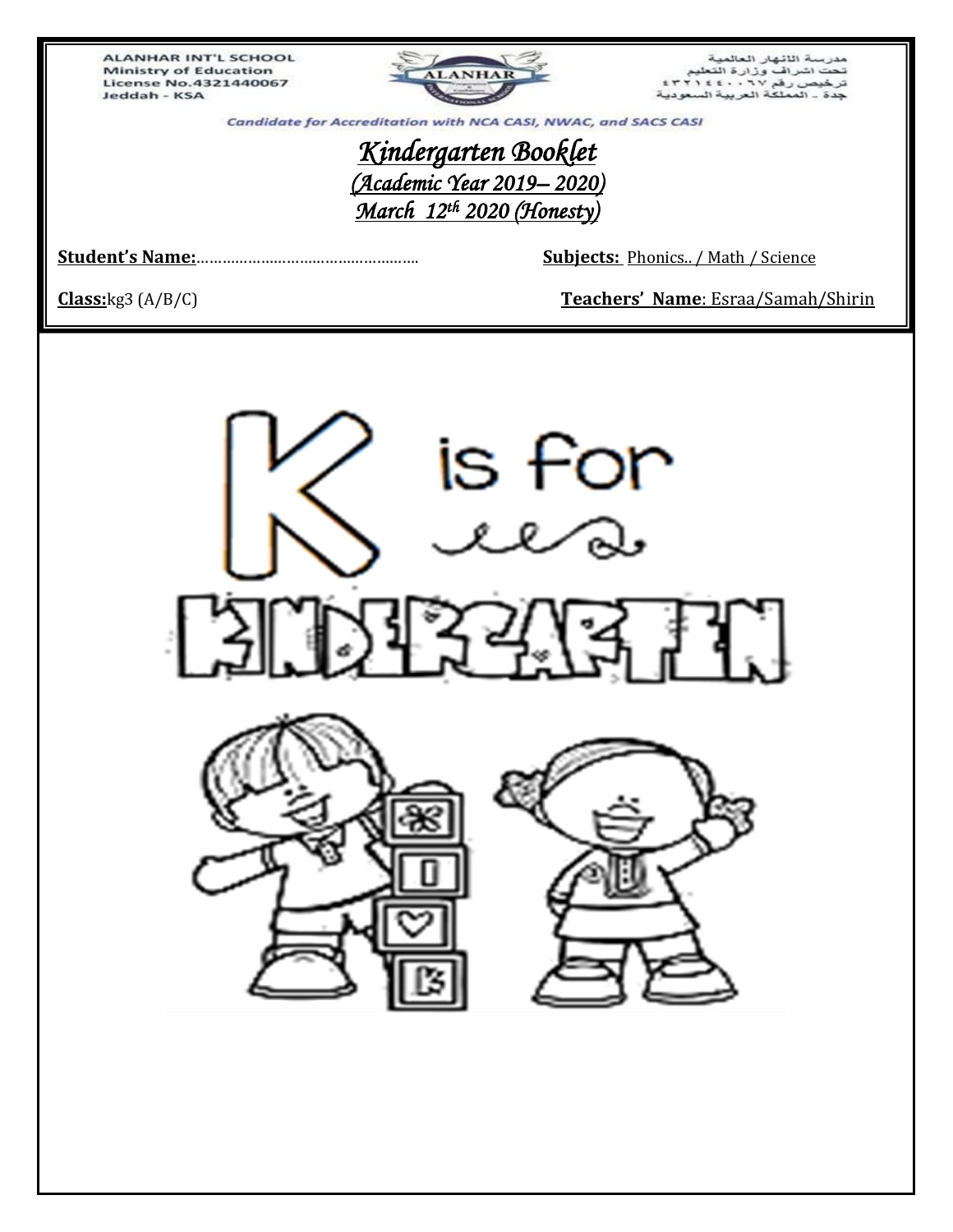**ALANHAR INT'L SCHOOL Ministry of Education** License No.4321440067 Jeddah - KSA



مدرسة اللانهار العالمية<br>تحت اشراف وزارة التعليم<br>ترخيص رفم ٢٧ : ٤٤٠٠ : ٢٢١٤٤<br>جدة ـ المملكة العربية السعودية

Candidate for Accreditation with NCA CASI, NWAC, and SACS CASI

# *Kindergarten Booklet (Academic Year 2019– 2020) March 12th 2020 (Honesty)*

**Student's Name:**……………………………………………. **Subjects:** Phonics.. / Math / Science

**Class:**kg3 (A/B/C) **Teachers' Name**: Esraa/Samah/Shirin

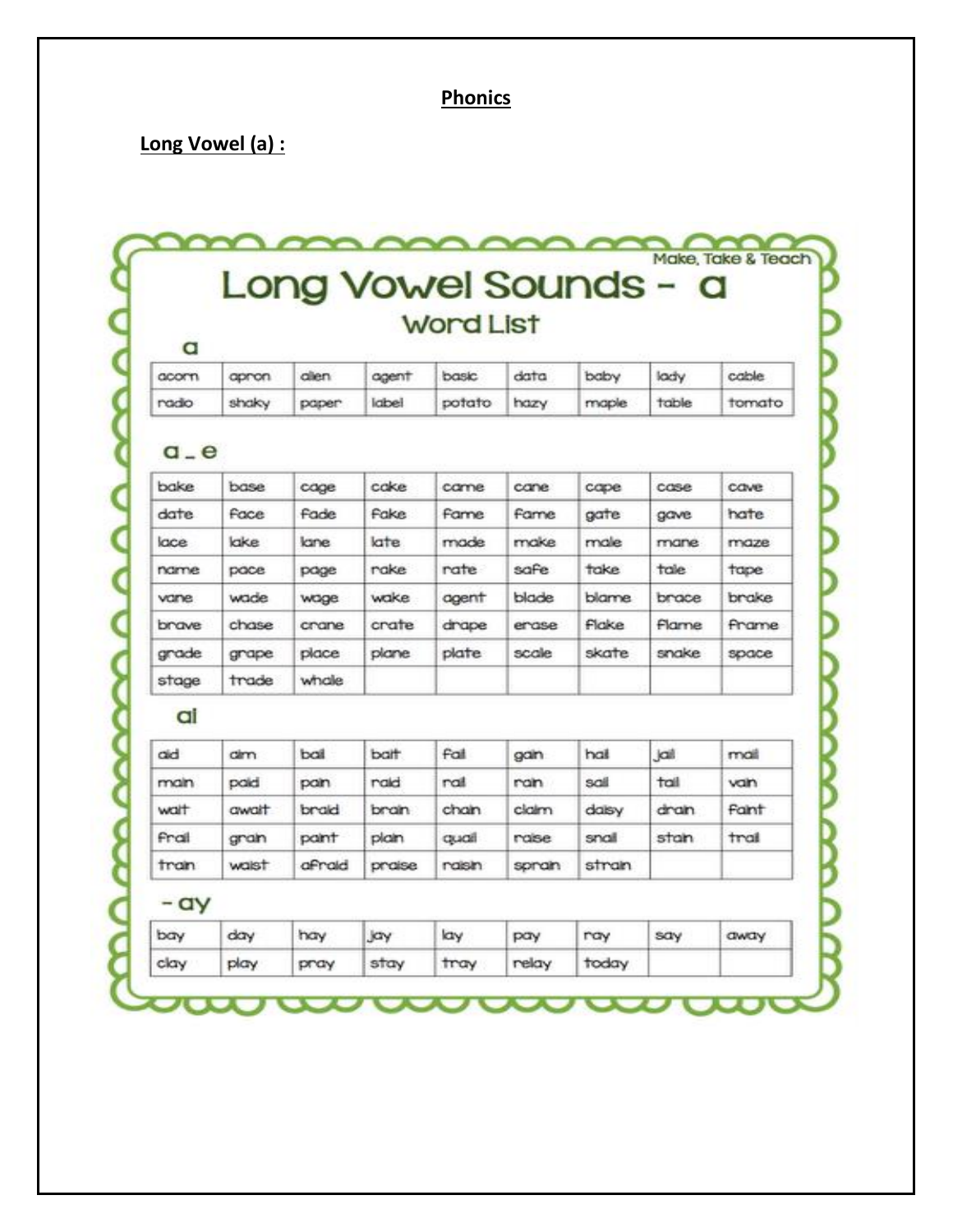## **Phonics**

# Long Vowel (a) :

Make, Take & Teach Long Vowel Sounds - a **Word List** a

|  |  |  | acorn apron allen agent basic data baby lady | cable                                                  |
|--|--|--|----------------------------------------------|--------------------------------------------------------|
|  |  |  |                                              | radio shaky paper label potato hazy maple table tomato |

#### $a - e$

| bake  | base  | cage        | cake        | came         | cane  | cape  | case  | cave  |
|-------|-------|-------------|-------------|--------------|-------|-------|-------|-------|
| date  | Face  | <b>Fade</b> | <b>Fake</b> | <b>Farme</b> | Fame  | gate  | gave  | hate  |
| lace  | lake  | lane        | late        | made         | make  | male  | mane  | maze  |
| name  | pace  | page        | rake        | rate         | safe  | take  | tale  | tape  |
| vane  | wade  | wage        | wake        | agent        | blade | blame | brace | brake |
| brave | chase | crane       | crate       | drape        | erase | Flake | Flame | Frame |
| grade | grape | place       | plane       | plate        | scale | skate | snake | space |
| stage | trade | whale       |             |              |       |       |       |       |

#### ai

| aid   | <b>dim</b> | ball   | balt   | Fail   | gan   | hai   | jail | mail  |
|-------|------------|--------|--------|--------|-------|-------|------|-------|
| main  | paid       | pain   | raid   | ral    | ran   | sail  | tail | van   |
| walt  | await      | braid  | brain  | chain  | claim | dalsy | dran | Fant  |
| Frail | gran       | paint  | plain  | qual   | rase  | snall | stan | trail |
| tran  | waist      | afraid | praise | raisin | spran | stran |      |       |

## - ay

| bay  | day  | hay  | Jay  | lay  | pay   | ray   | say | away |
|------|------|------|------|------|-------|-------|-----|------|
| clay | play | pray | stay | tray | relay | today |     |      |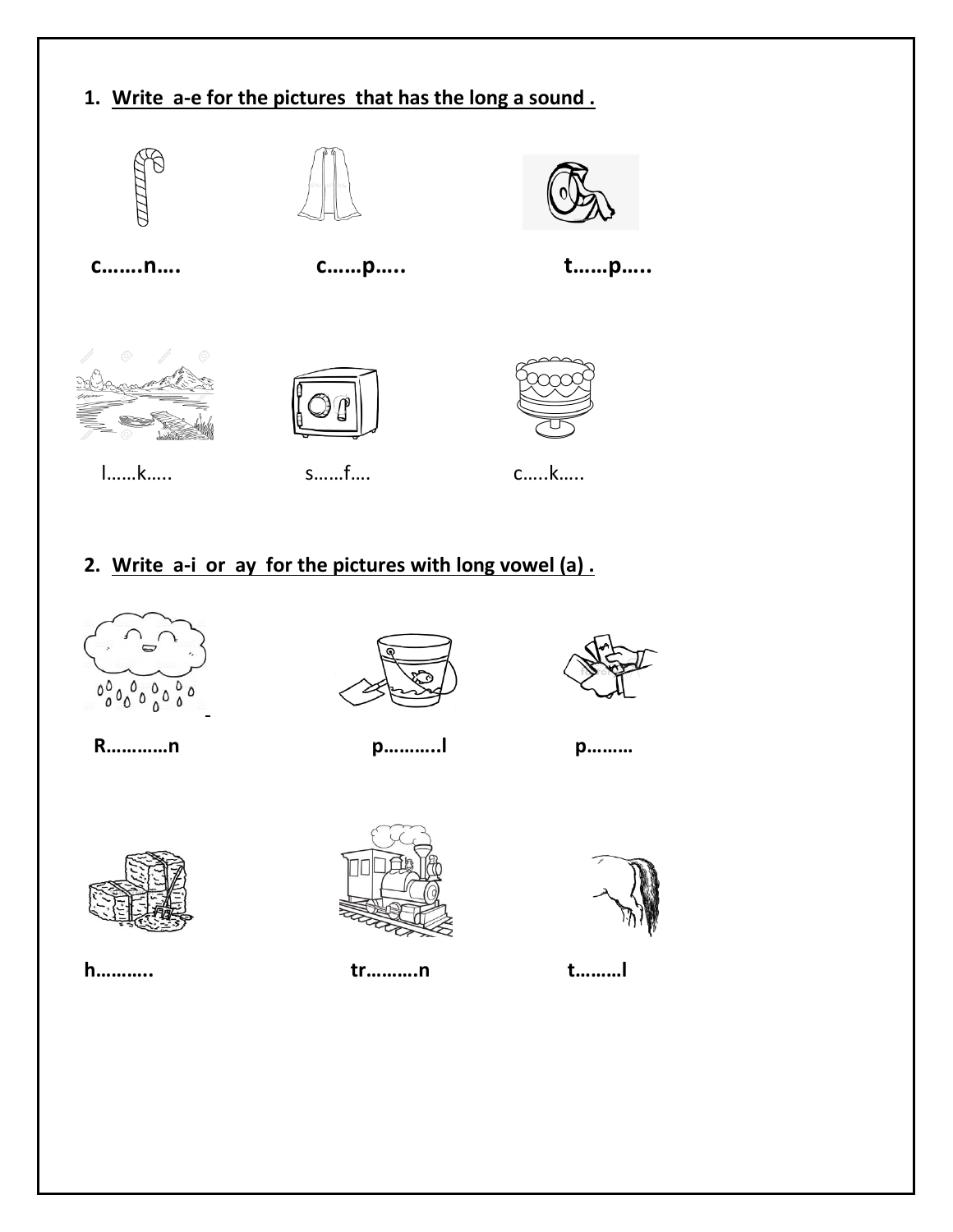

# 2. Write a-i or ay for the pictures with long vowel (a).



R............n





p............l

p.........



h..........



tr..........n



t.........l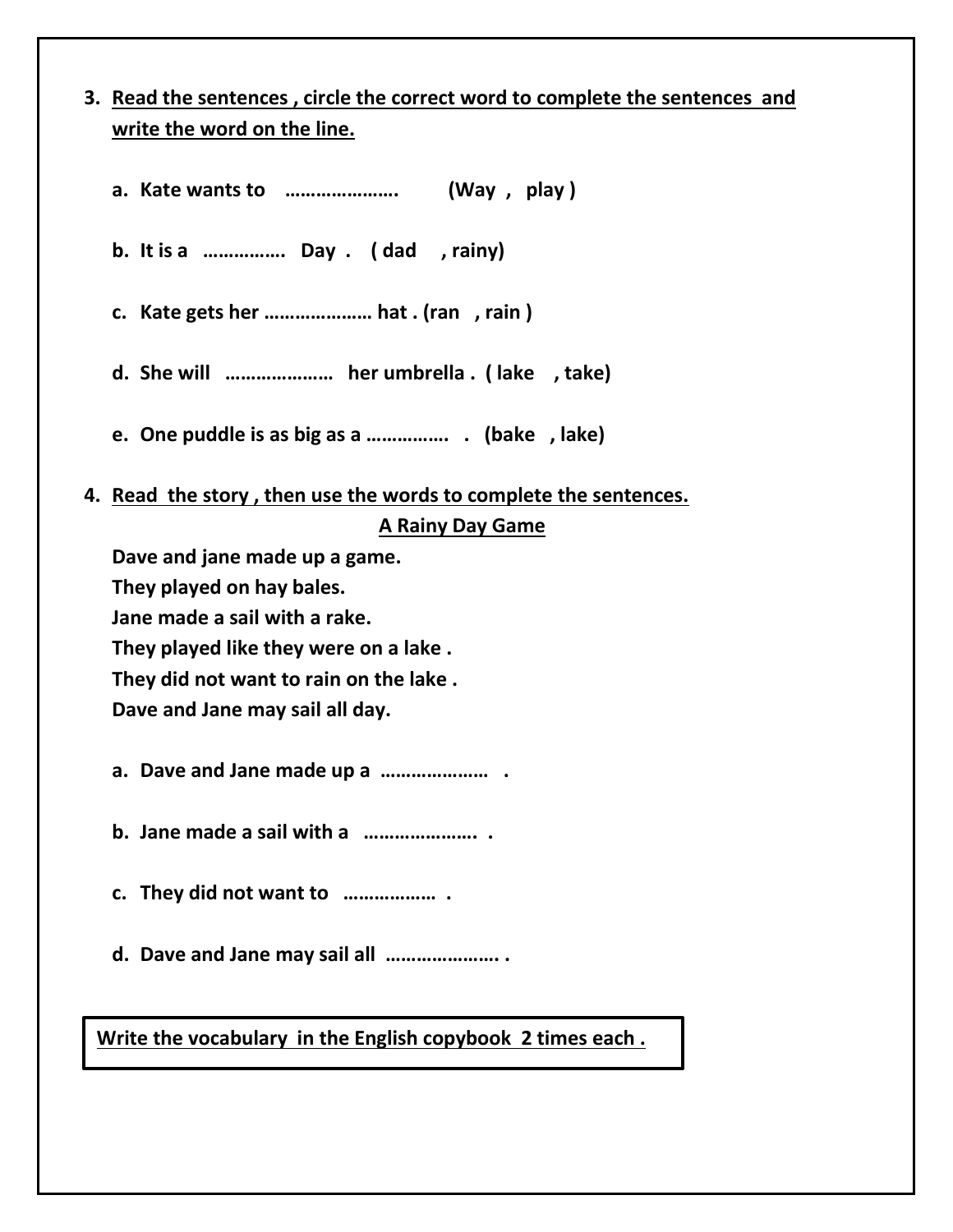# **3. Read the sentences , circle the correct word to complete the sentences and write the word on the line.**

| b. It is a  Day . (dad , rainy)                                  |
|------------------------------------------------------------------|
| c. Kate gets her  hat . (ran, rain)                              |
| d. She will  her umbrella . (lake, take)                         |
| e. One puddle is as big as a  (bake, lake)                       |
| 4. Read the story, then use the words to complete the sentences. |
| <b>A Rainy Day Game</b>                                          |
| Dave and jane made up a game.                                    |
| They played on hay bales.                                        |
| Jane made a sail with a rake.                                    |
| They played like they were on a lake.                            |
| They did not want to rain on the lake.                           |
| Dave and Jane may sail all day.                                  |
|                                                                  |
|                                                                  |
|                                                                  |
| d. Dave and Jane may sail all                                    |
|                                                                  |

**Write the vocabulary in the English copybook 2 times each .**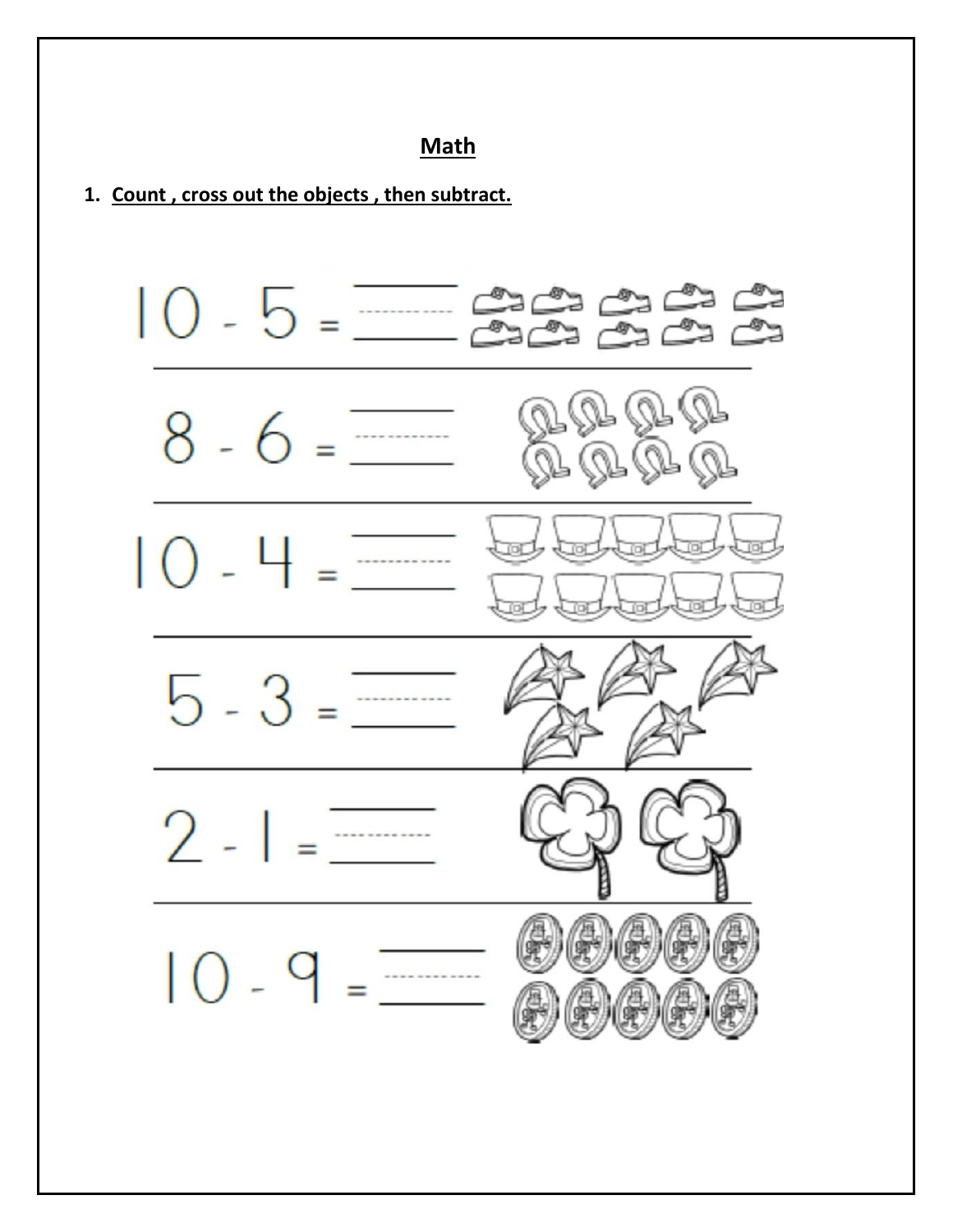### **Math**

#### **1. Count , cross out the objects , then subtract.**

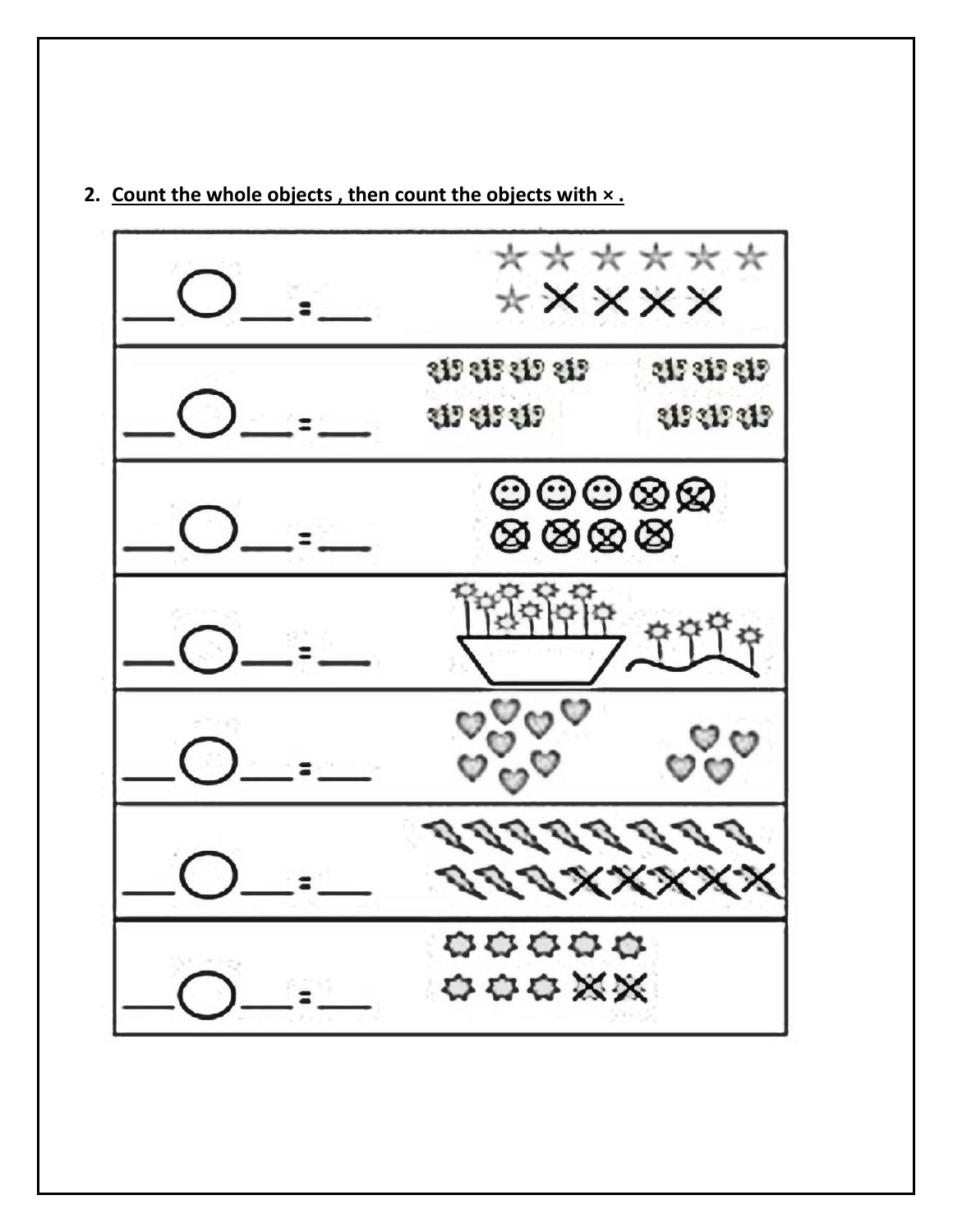

#### **2. Count the whole objects , then count the objects with × .**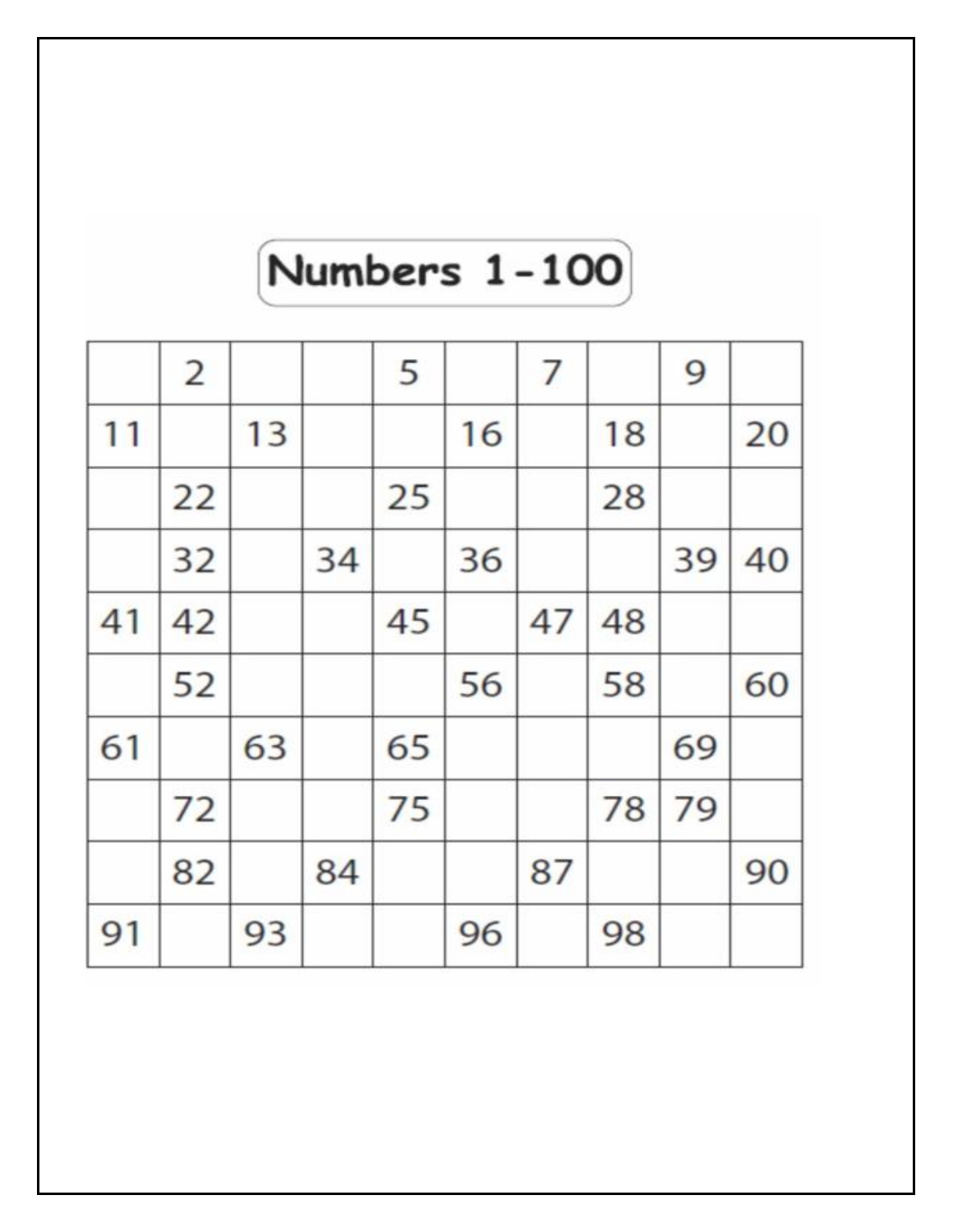# **Numbers 1-100**

|    | $\overline{2}$ |    |    | 5  |    | 7  |    | 9  |    |
|----|----------------|----|----|----|----|----|----|----|----|
| 11 |                | 13 |    |    | 16 |    | 18 |    | 20 |
|    | 22             |    |    | 25 |    |    | 28 |    |    |
|    | 32             |    | 34 |    | 36 |    |    | 39 | 40 |
| 41 | 42             |    |    | 45 |    | 47 | 48 |    |    |
|    | 52             |    |    |    | 56 |    | 58 |    | 60 |
| 61 |                | 63 |    | 65 |    |    |    | 69 |    |
|    | 72             |    |    | 75 |    |    | 78 | 79 |    |
|    | 82             |    | 84 |    |    | 87 |    |    | 90 |
| 91 |                | 93 |    |    | 96 |    | 98 |    |    |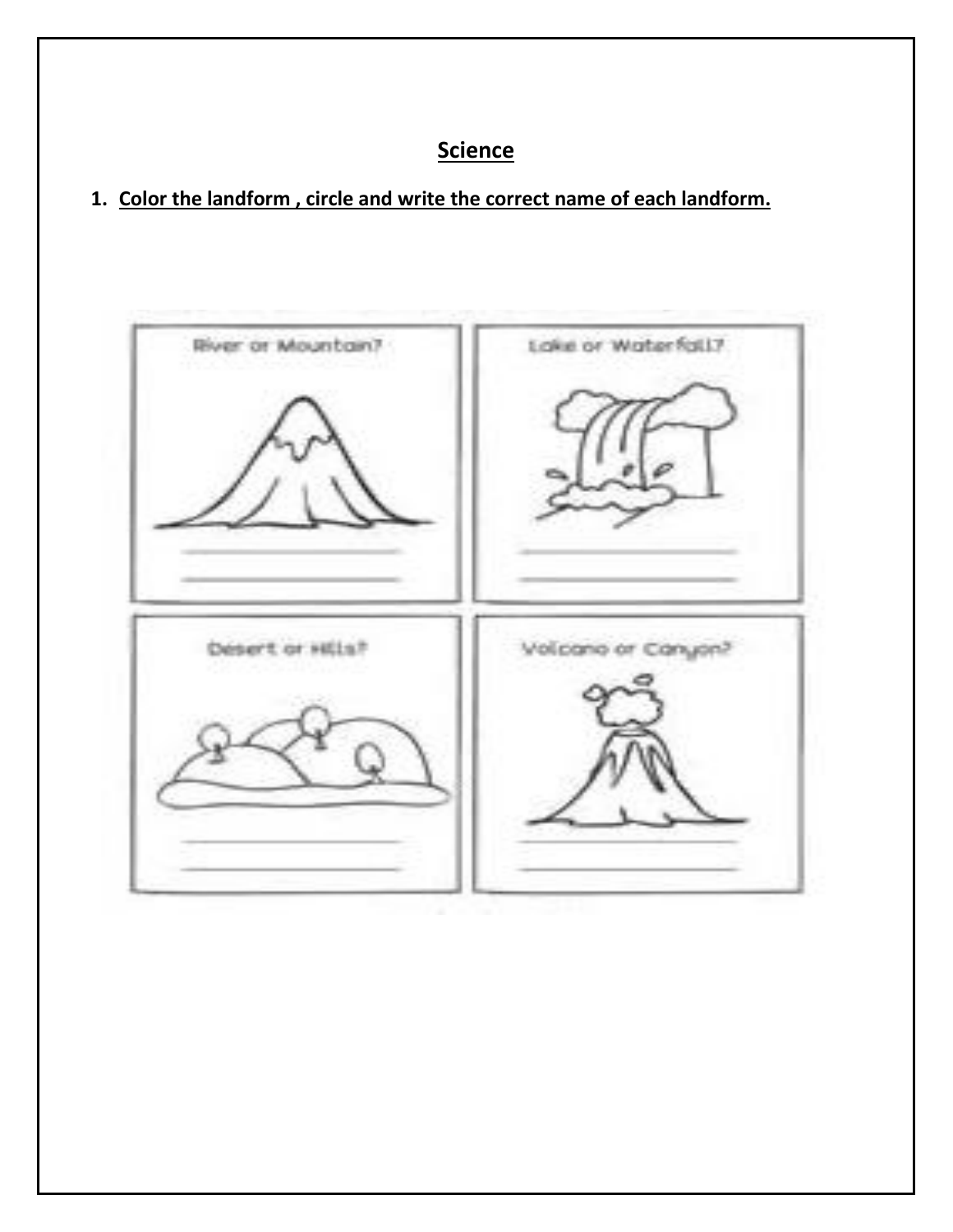# **Science**

**1. Color the landform , circle and write the correct name of each landform.**

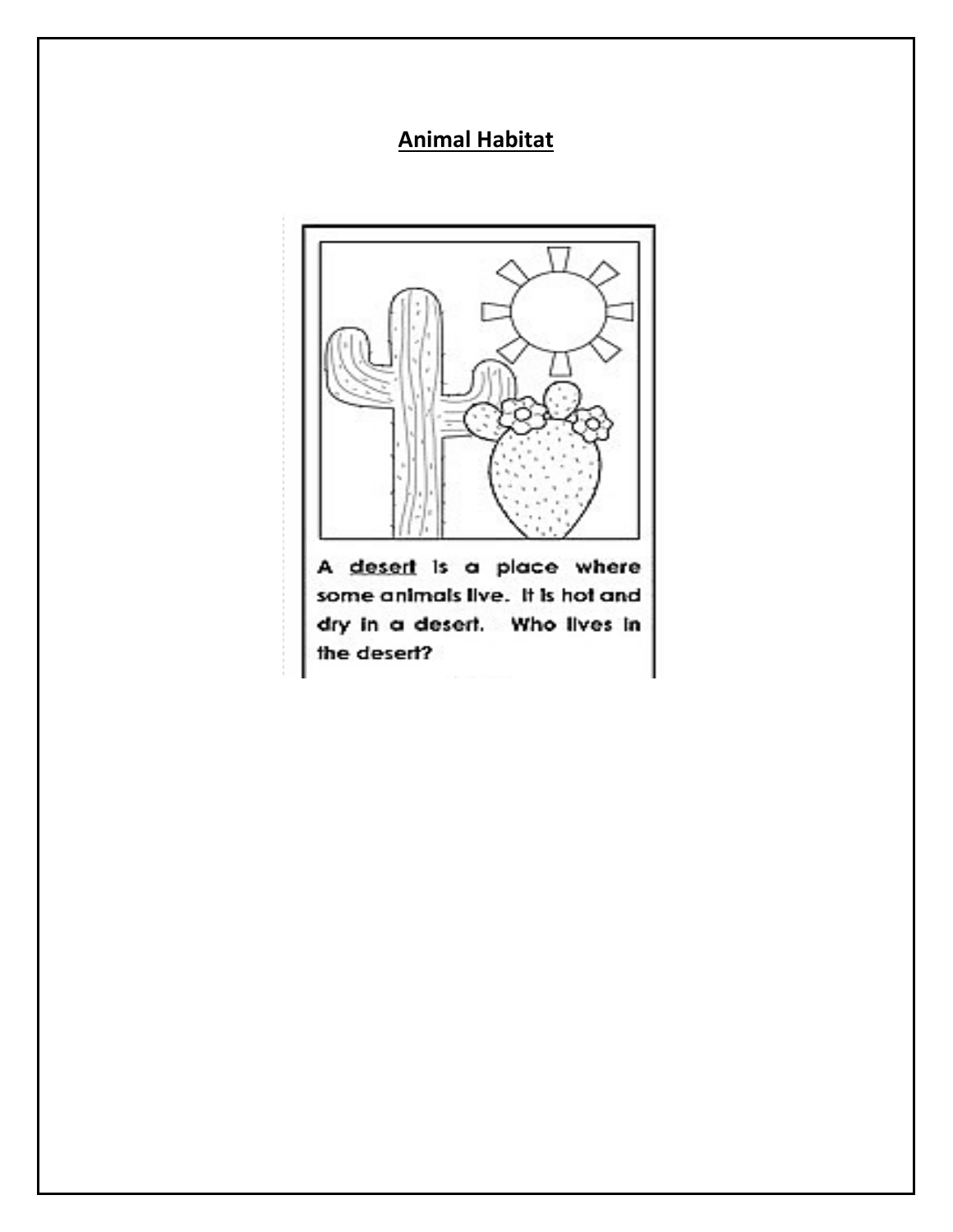# **Animal Habitat**



some animals live. It is hot and dry in a desert. Who lives in the desert?